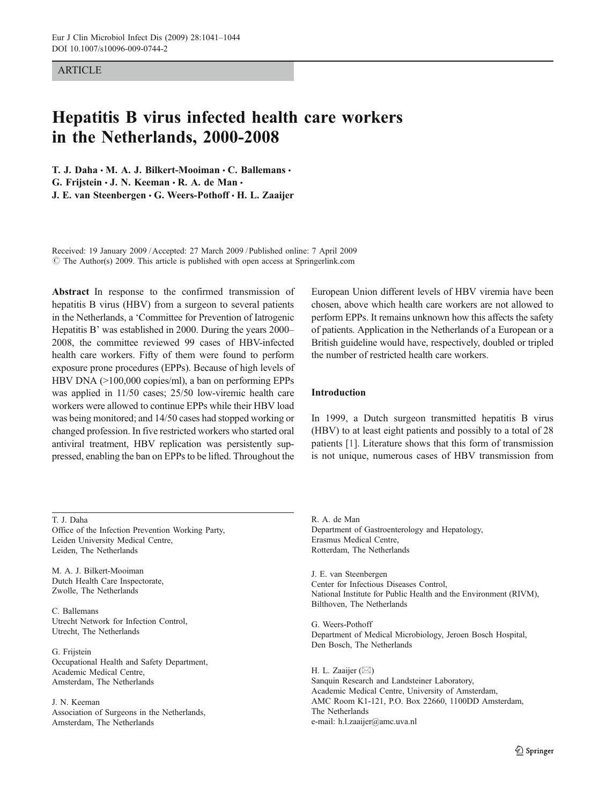#### ARTICLE

# Hepatitis B virus infected health care workers in the Netherlands, 2000-2008

T. J. Daha · M. A. J. Bilkert-Mooiman · C. Ballemans · G. Frijstein  $\cdot$  J. N. Keeman  $\cdot$  R. A. de Man  $\cdot$ J. E. van Steenbergen · G. Weers-Pothoff · H. L. Zaaijer

Received: 19 January 2009 /Accepted: 27 March 2009 / Published online: 7 April 2009  $\circ$  The Author(s) 2009. This article is published with open access at Springerlink.com

Abstract In response to the confirmed transmission of hepatitis B virus (HBV) from a surgeon to several patients in the Netherlands, a 'Committee for Prevention of Iatrogenic Hepatitis B' was established in 2000. During the years 2000– 2008, the committee reviewed 99 cases of HBV-infected health care workers. Fifty of them were found to perform exposure prone procedures (EPPs). Because of high levels of HBV DNA (>100,000 copies/ml), a ban on performing EPPs was applied in 11/50 cases; 25/50 low-viremic health care workers were allowed to continue EPPs while their HBV load was being monitored; and 14/50 cases had stopped working or changed profession. In five restricted workers who started oral antiviral treatment, HBV replication was persistently suppressed, enabling the ban on EPPs to be lifted. Throughout the

T. J. Daha

Office of the Infection Prevention Working Party, Leiden University Medical Centre, Leiden, The Netherlands

M. A. J. Bilkert-Mooiman Dutch Health Care Inspectorate, Zwolle, The Netherlands

C. Ballemans Utrecht Network for Infection Control, Utrecht, The Netherlands

G. Frijstein Occupational Health and Safety Department, Academic Medical Centre, Amsterdam, The Netherlands

J. N. Keeman Association of Surgeons in the Netherlands, Amsterdam, The Netherlands

European Union different levels of HBV viremia have been chosen, above which health care workers are not allowed to perform EPPs. It remains unknown how this affects the safety of patients. Application in the Netherlands of a European or a British guideline would have, respectively, doubled or tripled the number of restricted health care workers.

## Introduction

In 1999, a Dutch surgeon transmitted hepatitis B virus (HBV) to at least eight patients and possibly to a total of 28 patients [[1\]](#page-3-0). Literature shows that this form of transmission is not unique, numerous cases of HBV transmission from

R. A. de Man Department of Gastroenterology and Hepatology, Erasmus Medical Centre, Rotterdam, The Netherlands

J. E. van Steenbergen Center for Infectious Diseases Control, National Institute for Public Health and the Environment (RIVM), Bilthoven, The Netherlands

G. Weers-Pothoff Department of Medical Microbiology, Jeroen Bosch Hospital, Den Bosch, The Netherlands

H. L. Zaaijer (*\**) Sanquin Research and Landsteiner Laboratory, Academic Medical Centre, University of Amsterdam, AMC Room K1-121, P.O. Box 22660, 1100DD Amsterdam, The Netherlands e-mail: h.l.zaaijer@amc.uva.nl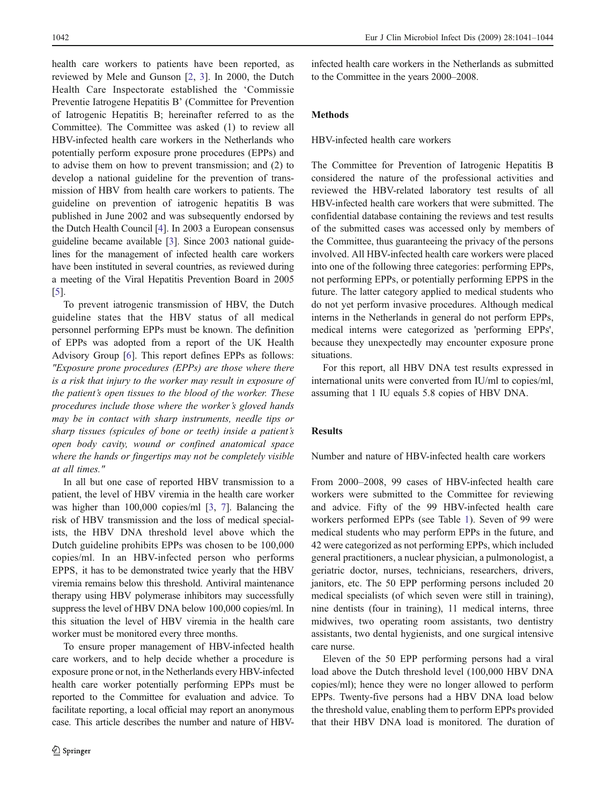health care workers to patients have been reported, as reviewed by Mele and Gunson [[2,](#page-3-0) [3](#page-3-0)]. In 2000, the Dutch Health Care Inspectorate established the 'Commissie Preventie Iatrogene Hepatitis B' (Committee for Prevention of Iatrogenic Hepatitis B; hereinafter referred to as the Committee). The Committee was asked (1) to review all HBV-infected health care workers in the Netherlands who potentially perform exposure prone procedures (EPPs) and to advise them on how to prevent transmission; and (2) to develop a national guideline for the prevention of transmission of HBV from health care workers to patients. The guideline on prevention of iatrogenic hepatitis B was published in June 2002 and was subsequently endorsed by the Dutch Health Council [[4](#page-3-0)]. In 2003 a European consensus guideline became available [\[3](#page-3-0)]. Since 2003 national guidelines for the management of infected health care workers have been instituted in several countries, as reviewed during a meeting of the Viral Hepatitis Prevention Board in 2005 [\[5](#page-3-0)].

To prevent iatrogenic transmission of HBV, the Dutch guideline states that the HBV status of all medical personnel performing EPPs must be known. The definition of EPPs was adopted from a report of the UK Health Advisory Group [\[6](#page-3-0)]. This report defines EPPs as follows: "Exposure prone procedures (EPPs) are those where there is a risk that injury to the worker may result in exposure of the patient's open tissues to the blood of the worker. These procedures include those where the worker's gloved hands may be in contact with sharp instruments, needle tips or sharp tissues (spicules of bone or teeth) inside a patient's open body cavity, wound or confined anatomical space where the hands or fingertips may not be completely visible at all times."

In all but one case of reported HBV transmission to a patient, the level of HBV viremia in the health care worker was higher than 100,000 copies/ml [\[3](#page-3-0), [7](#page-3-0)]. Balancing the risk of HBV transmission and the loss of medical specialists, the HBV DNA threshold level above which the Dutch guideline prohibits EPPs was chosen to be 100,000 copies/ml. In an HBV-infected person who performs EPPS, it has to be demonstrated twice yearly that the HBV viremia remains below this threshold. Antiviral maintenance therapy using HBV polymerase inhibitors may successfully suppress the level of HBV DNA below 100,000 copies/ml. In this situation the level of HBV viremia in the health care worker must be monitored every three months.

To ensure proper management of HBV-infected health care workers, and to help decide whether a procedure is exposure prone or not, in the Netherlands every HBV-infected health care worker potentially performing EPPs must be reported to the Committee for evaluation and advice. To facilitate reporting, a local official may report an anonymous case. This article describes the number and nature of HBV- infected health care workers in the Netherlands as submitted to the Committee in the years 2000–2008.

## Methods

## HBV-infected health care workers

The Committee for Prevention of Iatrogenic Hepatitis B considered the nature of the professional activities and reviewed the HBV-related laboratory test results of all HBV-infected health care workers that were submitted. The confidential database containing the reviews and test results of the submitted cases was accessed only by members of the Committee, thus guaranteeing the privacy of the persons involved. All HBV-infected health care workers were placed into one of the following three categories: performing EPPs, not performing EPPs, or potentially performing EPPS in the future. The latter category applied to medical students who do not yet perform invasive procedures. Although medical interns in the Netherlands in general do not perform EPPs, medical interns were categorized as 'performing EPPs', because they unexpectedly may encounter exposure prone situations.

For this report, all HBV DNA test results expressed in international units were converted from IU/ml to copies/ml, assuming that 1 IU equals 5.8 copies of HBV DNA.

#### **Results**

Number and nature of HBV-infected health care workers

From 2000–2008, 99 cases of HBV-infected health care workers were submitted to the Committee for reviewing and advice. Fifty of the 99 HBV-infected health care workers performed EPPs (see Table [1\)](#page-2-0). Seven of 99 were medical students who may perform EPPs in the future, and 42 were categorized as not performing EPPs, which included general practitioners, a nuclear physician, a pulmonologist, a geriatric doctor, nurses, technicians, researchers, drivers, janitors, etc. The 50 EPP performing persons included 20 medical specialists (of which seven were still in training), nine dentists (four in training), 11 medical interns, three midwives, two operating room assistants, two dentistry assistants, two dental hygienists, and one surgical intensive care nurse.

Eleven of the 50 EPP performing persons had a viral load above the Dutch threshold level (100,000 HBV DNA copies/ml); hence they were no longer allowed to perform EPPs. Twenty-five persons had a HBV DNA load below the threshold value, enabling them to perform EPPs provided that their HBV DNA load is monitored. The duration of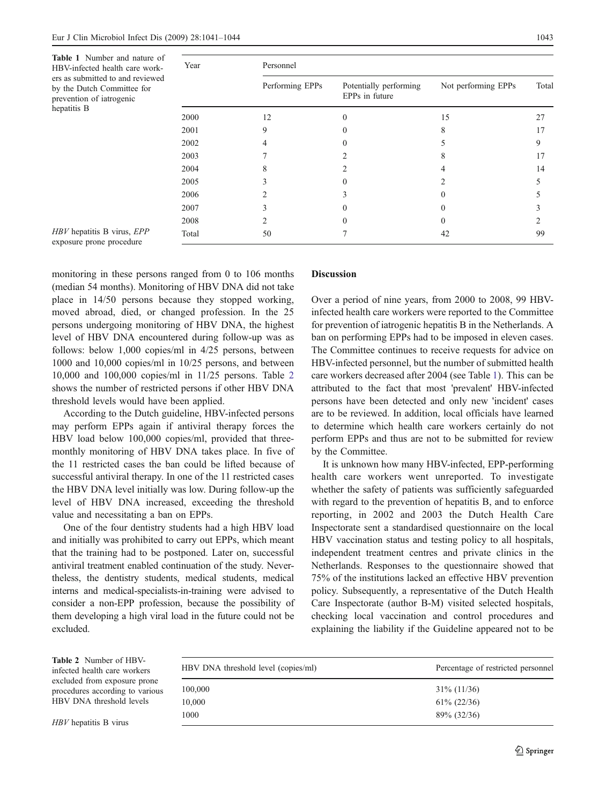<span id="page-2-0"></span>Table 1 Number and nature HBV-infected health care y ers as submitted to and revi by the Dutch Committee fo prevention of iatrogenic hepatitis B

| Year  | Personnel       |                                          |                     |       |
|-------|-----------------|------------------------------------------|---------------------|-------|
|       | Performing EPPs | Potentially performing<br>EPPs in future | Not performing EPPs | Total |
| 2000  | 12              | 0                                        | 15                  | 27    |
| 2001  | 9               |                                          | 8                   | 17    |
| 2002  |                 | $\mathbf{\Omega}$                        |                     | 9     |
| 2003  |                 |                                          | 8                   | 17    |
| 2004  |                 |                                          | 4                   | 14    |
| 2005  |                 | $\theta$                                 | 2                   |       |
| 2006  |                 |                                          | $\theta$            |       |
| 2007  |                 |                                          |                     |       |
| 2008  |                 |                                          |                     |       |
| Total | 50              |                                          | 42                  | 99    |

 $HBV$  hepatitis B virus,  $EP$ exposure prone procedure

monitoring in these persons ranged from 0 to 106 months (median 54 months). Monitoring of HBV DNA did not take place in 14/50 persons because they stopped working, moved abroad, died, or changed profession. In the 25 persons undergoing monitoring of HBV DNA, the highest level of HBV DNA encountered during follow-up was as follows: below 1,000 copies/ml in 4/25 persons, between 1000 and 10,000 copies/ml in 10/25 persons, and between 10,000 and 100,000 copies/ml in 11/25 persons. Table 2 shows the number of restricted persons if other HBV DNA threshold levels would have been applied.

According to the Dutch guideline, HBV-infected persons may perform EPPs again if antiviral therapy forces the HBV load below 100,000 copies/ml, provided that threemonthly monitoring of HBV DNA takes place. In five of the 11 restricted cases the ban could be lifted because of successful antiviral therapy. In one of the 11 restricted cases the HBV DNA level initially was low. During follow-up the level of HBV DNA increased, exceeding the threshold value and necessitating a ban on EPPs.

One of the four dentistry students had a high HBV load and initially was prohibited to carry out EPPs, which meant that the training had to be postponed. Later on, successful antiviral treatment enabled continuation of the study. Nevertheless, the dentistry students, medical students, medical interns and medical-specialists-in-training were advised to consider a non-EPP profession, because the possibility of them developing a high viral load in the future could not be excluded.

#### Discussion

Over a period of nine years, from 2000 to 2008, 99 HBVinfected health care workers were reported to the Committee for prevention of iatrogenic hepatitis B in the Netherlands. A ban on performing EPPs had to be imposed in eleven cases. The Committee continues to receive requests for advice on HBV-infected personnel, but the number of submitted health care workers decreased after 2004 (see Table 1). This can be attributed to the fact that most 'prevalent' HBV-infected persons have been detected and only new 'incident' cases are to be reviewed. In addition, local officials have learned to determine which health care workers certainly do not perform EPPs and thus are not to be submitted for review by the Committee.

It is unknown how many HBV-infected, EPP-performing health care workers went unreported. To investigate whether the safety of patients was sufficiently safeguarded with regard to the prevention of hepatitis B, and to enforce reporting, in 2002 and 2003 the Dutch Health Care Inspectorate sent a standardised questionnaire on the local HBV vaccination status and testing policy to all hospitals, independent treatment centres and private clinics in the Netherlands. Responses to the questionnaire showed that 75% of the institutions lacked an effective HBV prevention policy. Subsequently, a representative of the Dutch Health Care Inspectorate (author B-M) visited selected hospitals, checking local vaccination and control procedures and explaining the liability if the Guideline appeared not to be

Table 2 Number of HBVinfected health care workers excluded from exposure prone procedures according to various HBV DNA threshold levels

| HBV DNA threshold level (copies/ml) | Percentage of restricted personnel |  |  |
|-------------------------------------|------------------------------------|--|--|
| 100,000                             | $31\% (11/36)$                     |  |  |
| 10,000                              | $61\% (22/36)$                     |  |  |
| 1000                                | 89% (32/36)                        |  |  |